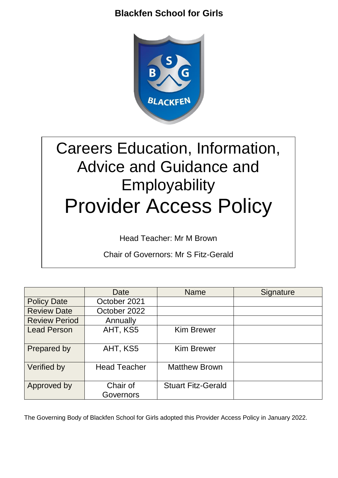

# Careers Education, Information, Advice and Guidance and **Employability** Provider Access Policy

Head Teacher: Mr M Brown

Chair of Governors: Mr S Fitz-Gerald

|                      | Date                  | <b>Name</b>               | Signature |
|----------------------|-----------------------|---------------------------|-----------|
| <b>Policy Date</b>   | October 2021          |                           |           |
| <b>Review Date</b>   | October 2022          |                           |           |
| <b>Review Period</b> | Annually              |                           |           |
| <b>Lead Person</b>   | AHT, KS5              | <b>Kim Brewer</b>         |           |
| Prepared by          | AHT, KS5              | <b>Kim Brewer</b>         |           |
| Verified by          | <b>Head Teacher</b>   | <b>Matthew Brown</b>      |           |
| Approved by          | Chair of<br>Governors | <b>Stuart Fitz-Gerald</b> |           |

The Governing Body of Blackfen School for Girls adopted this Provider Access Policy in January 2022.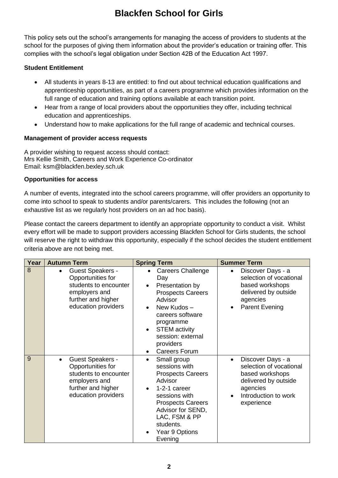This policy sets out the school's arrangements for managing the access of providers to students at the school for the purposes of giving them information about the provider's education or training offer. This complies with the school's legal obligation under Section 42B of the Education Act 1997.

#### **Student Entitlement**

- All students in years 8-13 are entitled: to find out about technical education qualifications and apprenticeship opportunities, as part of a careers programme which provides information on the full range of education and training options available at each transition point.
- Hear from a range of local providers about the opportunities they offer, including technical education and apprenticeships.
- Understand how to make applications for the full range of academic and technical courses.

#### **Management of provider access requests**

A provider wishing to request access should contact: Mrs Kellie Smith, Careers and Work Experience Co-ordinator Email: ksm@blackfen.bexley.sch.uk

#### **Opportunities for access**

A number of events, integrated into the school careers programme, will offer providers an opportunity to come into school to speak to students and/or parents/carers. This includes the following (not an exhaustive list as we regularly host providers on an ad hoc basis).

Please contact the careers department to identify an appropriate opportunity to conduct a visit. Whilst every effort will be made to support providers accessing Blackfen School for Girls students, the school will reserve the right to withdraw this opportunity, especially if the school decides the student entitlement criteria above are not being met.

| Year | <b>Autumn Term</b>                                                                                                                               | <b>Spring Term</b>                                                                                                                                                                                                                                                | <b>Summer Term</b>                                                                                                                                     |
|------|--------------------------------------------------------------------------------------------------------------------------------------------------|-------------------------------------------------------------------------------------------------------------------------------------------------------------------------------------------------------------------------------------------------------------------|--------------------------------------------------------------------------------------------------------------------------------------------------------|
| 8    | <b>Guest Speakers -</b><br>$\bullet$<br>Opportunities for<br>students to encounter<br>employers and<br>further and higher<br>education providers | <b>Careers Challenge</b><br>$\bullet$<br>Day<br>Presentation by<br><b>Prospects Careers</b><br>Advisor<br>New Kudos-<br>careers software<br>programme<br><b>STEM</b> activity<br>$\bullet$<br>session: external<br>providers<br><b>Careers Forum</b><br>$\bullet$ | Discover Days - a<br>$\bullet$<br>selection of vocational<br>based workshops<br>delivered by outside<br>agencies<br><b>Parent Evening</b>              |
| 9    | <b>Guest Speakers -</b><br>$\bullet$<br>Opportunities for<br>students to encounter<br>employers and<br>further and higher<br>education providers | Small group<br>$\bullet$<br>sessions with<br><b>Prospects Careers</b><br>Advisor<br>1-2-1 career<br>sessions with<br><b>Prospects Careers</b><br>Advisor for SEND,<br>LAC, FSM & PP<br>students.<br>Year 9 Options<br>Evening                                     | Discover Days - a<br>$\bullet$<br>selection of vocational<br>based workshops<br>delivered by outside<br>agencies<br>Introduction to work<br>experience |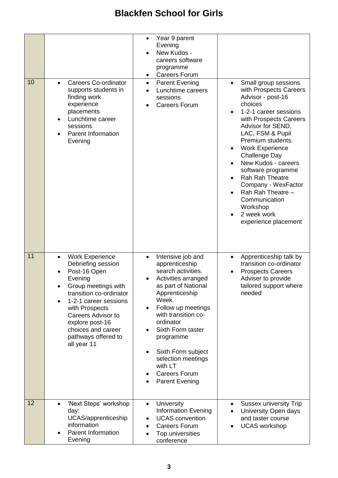| 10 | <b>Careers Co-ordinator</b><br>supports students in<br>finding work<br>experience<br>placements<br>Lunchtime career<br>sessions<br><b>Parent Information</b><br>Evening                                                                                                                                    | Year 9 parent<br>$\bullet$<br>Evening<br>New Kudos -<br>careers software<br>programme<br><b>Careers Forum</b><br><b>Parent Evening</b><br>$\bullet$<br>Lunchtime careers<br>sessions<br><b>Careers Forum</b>                                                                                                                                                     | Small group sessions<br>$\bullet$<br>with Prospects Careers<br>Advisor - post-16<br>choices<br>1-2-1 career sessions<br>with Prospects Careers<br>Advisor for SEND,<br>LAC, FSM & Pupil<br>Premium students.<br><b>Work Experience</b><br>Challenge Day<br>New Kudos - careers<br>software programme<br>Rah Rah Theatre<br>Company - WexFactor<br>Rah Rah Theatre -<br>Communication<br>Workshop<br>2 week work<br>experience placement |
|----|------------------------------------------------------------------------------------------------------------------------------------------------------------------------------------------------------------------------------------------------------------------------------------------------------------|------------------------------------------------------------------------------------------------------------------------------------------------------------------------------------------------------------------------------------------------------------------------------------------------------------------------------------------------------------------|-----------------------------------------------------------------------------------------------------------------------------------------------------------------------------------------------------------------------------------------------------------------------------------------------------------------------------------------------------------------------------------------------------------------------------------------|
| 11 | <b>Work Experience</b><br>$\bullet$<br>Debriefing session<br>Post-16 Open<br>Evening<br>Group meetings with<br>transition co-ordinator<br>1-2-1 career sessions<br>$\bullet$<br>with Prospects<br><b>Careers Advisor to</b><br>explore post-16<br>choices and career<br>pathways offered to<br>all year 11 | Intensive job and<br>$\bullet$<br>apprenticeship<br>search activities.<br>Activities arranged<br>as part of National<br>Apprenticeship<br>Week.<br>Follow up meetings<br>$\bullet$<br>with transition co-<br>ordinator<br>Sixth Form taster<br>programme<br>Sixth Form subject<br>selection meetings<br>with LT<br><b>Careers Forum</b><br><b>Parent Evening</b> | Apprenticeship talk by<br>$\bullet$<br>transition co-ordinator<br><b>Prospects Careers</b><br>Adviser to provide<br>tailored support where<br>needed                                                                                                                                                                                                                                                                                    |
| 12 | 'Next Steps' workshop<br>day:<br>UCAS/apprenticeship<br>information<br><b>Parent Information</b><br>Evening                                                                                                                                                                                                | University<br>$\bullet$<br><b>Information Evening</b><br><b>UCAS</b> convention<br><b>Careers Forum</b><br>Top universities<br>conference                                                                                                                                                                                                                        | <b>Sussex university Trip</b><br>University Open days<br>and taster course<br><b>UCAS</b> workshop                                                                                                                                                                                                                                                                                                                                      |